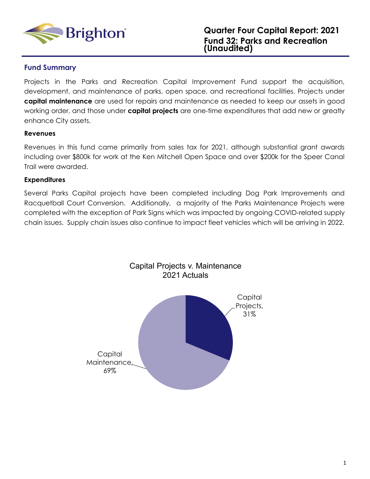

#### **Fund Summary**

Projects in the Parks and Recreation Capital Improvement Fund support the acquisition, development, and maintenance of parks, open space, and recreational facilities. Projects under **capital maintenance** are used for repairs and maintenance as needed to keep our assets in good working order, and those under **capital projects** are one-time expenditures that add new or greatly enhance City assets.

#### **Revenues**

Revenues in this fund came primarily from sales tax for 2021, although substantial grant awards including over \$800k for work at the Ken Mitchell Open Space and over \$200k for the Speer Canal Trail were awarded.

#### **Expenditures**

Several Parks Capital projects have been completed including Dog Park Improvements and Racquetball Court Conversion. Additionally, a majority of the Parks Maintenance Projects were completed with the exception of Park Signs which was impacted by ongoing COVID-related supply chain issues. Supply chain issues also continue to impact fleet vehicles which will be arriving in 2022.

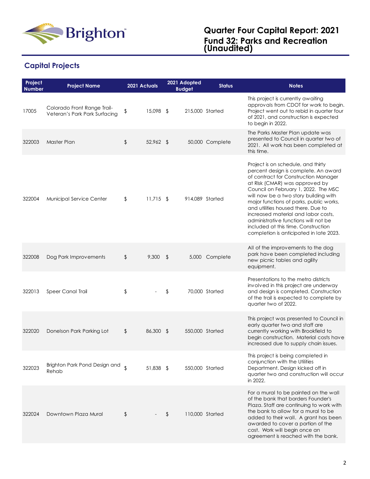

# **Capital Projects**

| Project<br><b>Number</b> | <b>Project Name</b>                                          | 2021 Actuals       |             | 2021 Adopted<br><b>Budget</b> | <b>Status</b>   | <b>Notes</b>                                                                                                                                                                                                                                                                                                                                                                                                                                                                            |
|--------------------------|--------------------------------------------------------------|--------------------|-------------|-------------------------------|-----------------|-----------------------------------------------------------------------------------------------------------------------------------------------------------------------------------------------------------------------------------------------------------------------------------------------------------------------------------------------------------------------------------------------------------------------------------------------------------------------------------------|
| 17005                    | Colorado Front Range Trail-<br>Veteran's Park Park Surfacing | \$                 | 15,098 \$   |                               | 215,000 Started | This project is currently awaiting<br>approvals from CDOT for work to begin.<br>Project went out to rebid in quarter four<br>of 2021, and construction is expected<br>to begin in 2022.                                                                                                                                                                                                                                                                                                 |
| 322003                   | Master Plan                                                  | \$                 | $52,962$ \$ |                               | 50,000 Complete | The Parks Master Plan update was<br>presented to Council in quarter two of<br>2021. All work has been completed at<br>this time.                                                                                                                                                                                                                                                                                                                                                        |
| 322004                   | Municipal Service Center                                     | \$                 | $11,715$ \$ | 914,089 Started               |                 | Project is on schedule, and thirty<br>percent design is complete. An award<br>of contract for Construction Manager<br>at Risk (CMAR) was approved by<br>Council on February 1, 2022. The MSC<br>will now be a two story building with<br>major functions of parks, public works,<br>and utilities housed there. Due to<br>increased material and labor costs,<br>administrative functions will not be<br>included at this time. Construction<br>completion is anticipated in late 2023. |
| 322008                   | Dog Park Improvements                                        | \$                 | $9,300$ \$  |                               | 5,000 Complete  | All of the improvements to the dog<br>park have been completed including<br>new picnic tables and agility<br>equipment.                                                                                                                                                                                                                                                                                                                                                                 |
| 322013                   | <b>Speer Canal Trail</b>                                     | \$                 |             | \$                            | 70,000 Started  | Presentations to the metro districts<br>involved in this project are underway<br>and design is completed. Construction<br>of the trail is expected to complete by<br>quarter two of 2022.                                                                                                                                                                                                                                                                                               |
| 322020                   | Donelson Park Parking Lot                                    | \$                 | 86,300 \$   |                               | 550,000 Started | This project was presented to Council in<br>early quarter two and staff are<br>currently working with Brookfield to<br>begin construction. Material costs have<br>increased due to supply chain issues.                                                                                                                                                                                                                                                                                 |
| 322023                   | Brighton Park Pond Design and<br>Rehab                       | $\mathbf{\hat{S}}$ | 51,838 \$   |                               | 550,000 Started | This project is being completed in<br>conjunction with the Utilities<br>Department. Design kicked off in<br>quarter two and construction will occur<br>in 2022.                                                                                                                                                                                                                                                                                                                         |
| 322024                   | Downtown Plaza Mural                                         | \$                 |             | \$                            | 110,000 Started | For a mural to be painted on the wall<br>of the bank that borders Founder's<br>Plaza. Staff are continuing to work with<br>the bank to allow for a mural to be<br>added to their wall. A grant has been<br>awarded to cover a portion of the<br>cost. Work will begin once an<br>agreement is reached with the bank.                                                                                                                                                                    |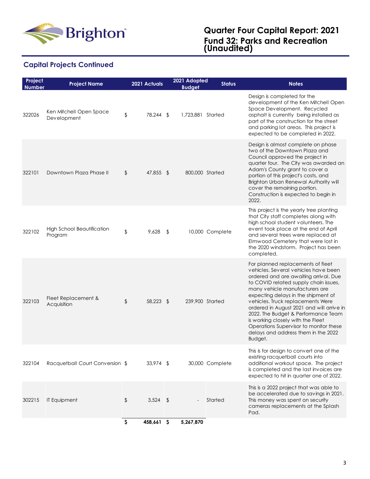

## **Capital Projects Continued**

| Project<br><b>Number</b> | <b>Project Name</b>                          | 2021 Actuals     |               | 2021 Adopted<br><b>Budget</b> | <b>Status</b>   | <b>Notes</b>                                                                                                                                                                                                                                                                                                                                                                                                                                                                                   |
|--------------------------|----------------------------------------------|------------------|---------------|-------------------------------|-----------------|------------------------------------------------------------------------------------------------------------------------------------------------------------------------------------------------------------------------------------------------------------------------------------------------------------------------------------------------------------------------------------------------------------------------------------------------------------------------------------------------|
| 322026                   | Ken Mitchell Open Space<br>Development       | \$<br>78,244 \$  |               | 1,723,881 Started             |                 | Design is completed for the<br>development of the Ken Mitchell Open<br>Space Development. Recycled<br>asphalt is currently being installed as<br>part of the construction for the street<br>and parking lot areas. This project is<br>expected to be completed in 2022.                                                                                                                                                                                                                        |
| 322101                   | Downtown Plaza Phase II                      | \$<br>47,855 \$  |               | 800,000 Started               |                 | Design is almost complete on phase<br>two of the Downtown Plaza and<br>Council approved the project in<br>quarter four. The City was awarded an<br>Adam's County grant to cover a<br>portion of this project's costs, and<br>Brighton Urban Renewal Authority will<br>cover the remaining portion.<br>Construction is expected to begin in<br>2022.                                                                                                                                            |
| 322102                   | <b>High School Beautification</b><br>Program | \$<br>9,628      | $\sqrt[6]{2}$ |                               | 10,000 Complete | This project is the yearly tree planting<br>that City staff completes along with<br>high school student volunteers. The<br>event took place at the end of April<br>and several trees were replaced at<br>Elmwood Cemetery that were lost in<br>the 2020 windstorm. Project has been<br>completed.                                                                                                                                                                                              |
| 322103                   | Fleet Replacement &<br>Acquisition           | \$<br>58,223 \$  |               | 239,900 Started               |                 | For planned replacements of fleet<br>vehicles. Several vehicles have been<br>ordered and are awaiting arrival. Due<br>to COVID related supply chain issues,<br>many vehicle manufacturers are<br>expecting delays in the shipment of<br>vehicles. Truck replacements Were<br>ordered in August 2021 and will arrive in<br>2022. The Budget & Performance Team<br>is working closely with the Fleet<br>Operations Supervisor to monitor these<br>delays and address them in the 2022<br>Budget. |
| 322104                   | Racquetball Court Conversion \$              | $33,974$ \$      |               |                               | 30,000 Complete | This is for design to convert one of the<br>existing racquetball courts into<br>additional workout space. The project<br>is completed and the last invoices are<br>expected to hit in quarter one of 2022.                                                                                                                                                                                                                                                                                     |
| 302215                   | <b>IT Equipment</b>                          | \$<br>$3,524$ \$ |               |                               | Started         | This is a 2022 project that was able to<br>be accelerated due to savings in 2021.<br>This money was spent on security<br>cameras replacements at the Splash<br>Pad.                                                                                                                                                                                                                                                                                                                            |
|                          |                                              | \$<br>458,661 \$ |               | 5,267,870                     |                 |                                                                                                                                                                                                                                                                                                                                                                                                                                                                                                |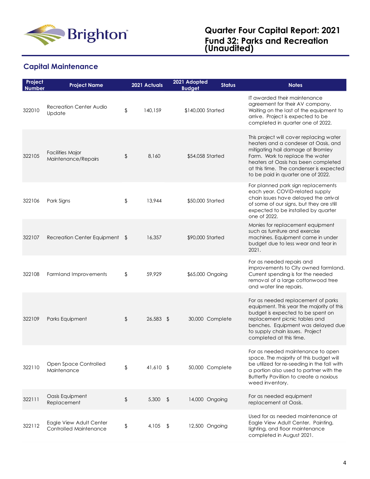

## **Capital Maintenance**

| Project<br><b>Number</b> | <b>Project Name</b>                               | 2021 Actuals     |            | 2021 Adopted<br><b>Budget</b> | <b>Status</b>   | <b>Notes</b>                                                                                                                                                                                                                                                                    |
|--------------------------|---------------------------------------------------|------------------|------------|-------------------------------|-----------------|---------------------------------------------------------------------------------------------------------------------------------------------------------------------------------------------------------------------------------------------------------------------------------|
| 322010                   | Recreation Center Audio<br>Update                 | \$<br>140,159    |            | \$140,000 Started             |                 | IT awarded their maintenance<br>agreement for their AV company.<br>Waiting on the last of the equipment to<br>arrive. Project is expected to be<br>completed in quarter one of 2022.                                                                                            |
| 322105                   | <b>Facilities Major</b><br>Maintenance/Repairs    | \$<br>8,160      |            | \$54,058 Started              |                 | This project will cover replacing water<br>heaters and a condeser at Oasis, and<br>mitigating hail damage at Bromley<br>Farm. Work to replace the water<br>heaters at Oasis has been completed<br>at this time. The condenser is expected<br>to be paid in quarter one of 2022. |
| 322106                   | Park Signs                                        | \$<br>13,944     |            | \$50,000 Started              |                 | For planned park sign replacements<br>each year. COVID-related supply<br>chain issues have delayed the arrival<br>of some of our signs, but they are still<br>expected to be installed by quarter<br>one of 2022.                                                               |
| 322107                   | Recreation Center Equipment \$                    | 16,357           |            | \$90,000 Started              |                 | Monies for replacement equipment<br>such as furniture and exercise<br>machines. Equipment came in under<br>budget due to less wear and tear in<br>2021.                                                                                                                         |
| 322108                   | <b>Farmland Improvements</b>                      | \$<br>59.929     |            | \$65,000 Ongoing              |                 | For as needed repairs and<br>improvements to City owned farmland.<br>Current spending is for the needed<br>removal of a large cottonwood tree<br>and water line repairs.                                                                                                        |
| 322109                   | Parks Equipment                                   | \$<br>26,583 \$  |            |                               | 30,000 Complete | For as needed replacement of parks<br>equipment. This year the majority of this<br>budget is expected to be spent on<br>replacement picnic tables and<br>benches. Equipment was delayed due<br>to supply chain issues. Project<br>completed at this time.                       |
| 322110                   | Open Space Controlled<br>Maintenance              | \$<br>41,610 \$  |            |                               | 50,000 Complete | For as needed maintenance to open<br>space. The majority of this budget will<br>be utilized for re-seeding in the fall with<br>a portion also used to partner with the<br>Butterfly Pavillion to create a noxious<br>weed inventory.                                            |
| 322111                   | Oasis Equipment<br>Replacement                    | \$<br>$5,300$ \$ |            |                               | 14,000 Ongoing  | For as needed equipment<br>replacement at Oasis.                                                                                                                                                                                                                                |
| 322112                   | Eagle View Adult Center<br>Controlled Maintenance | \$<br>4,105      | $\sqrt{3}$ |                               | 12,500 Ongoing  | Used for as needed maintenance at<br>Eagle View Adult Center. Painting,<br>lighting, and floor maintenance<br>completed in August 2021.                                                                                                                                         |